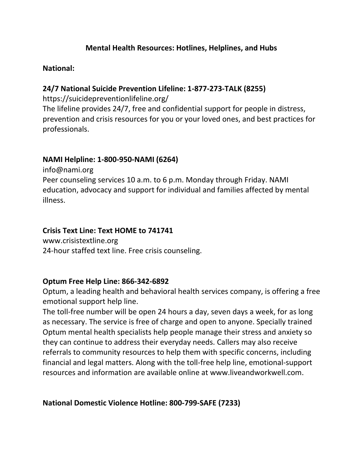## **Mental Health Resources: Hotlines, Helplines, and Hubs**

### **National:**

### **24/7 National Suicide Prevention Lifeline: 1-877-273-TALK (8255)**

https://suicidepreventionlifeline.org/

The lifeline provides 24/7, free and confidential support for people in distress, prevention and crisis resources for you or your loved ones, and best practices for professionals.

#### **NAMI Helpline: 1-800-950-NAMI (6264)**

info@nami.org Peer counseling services 10 a.m. to 6 p.m. Monday through Friday. NAMI education, advocacy and support for individual and families affected by mental illness.

#### **Crisis Text Line: Text HOME to 741741**

www.crisistextline.org 24-hour staffed text line. Free crisis counseling.

## **Optum Free Help Line: 866-342-6892**

Optum, a leading health and behavioral health services company, is offering a free emotional support help line.

The toll-free number will be open 24 hours a day, seven days a week, for as long as necessary. The service is free of charge and open to anyone. Specially trained Optum mental health specialists help people manage their stress and anxiety so they can continue to address their everyday needs. Callers may also receive referrals to community resources to help them with specific concerns, including financial and legal matters. Along with the toll-free help line, emotional-support resources and information are available online at www.liveandworkwell.com.

**National Domestic Violence Hotline: 800-799-SAFE (7233)**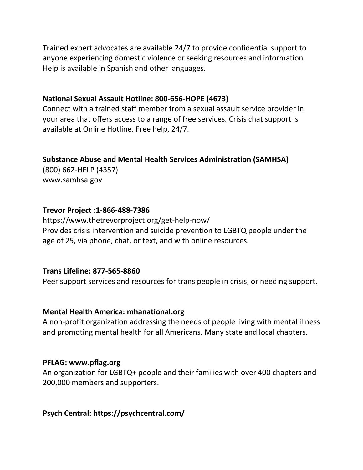Trained expert advocates are available 24/7 to provide confidential support to anyone experiencing domestic violence or seeking resources and information. Help is available in Spanish and other languages.

#### **National Sexual Assault Hotline: 800-656-HOPE (4673)**

Connect with a trained staff member from a sexual assault service provider in your area that offers access to a range of free services. Crisis chat support is available at Online Hotline. Free help, 24/7.

#### **Substance Abuse and Mental Health Services Administration (SAMHSA)**

(800) 662-HELP (4357) www.samhsa.gov

## **Trevor Project :1-866-488-7386**

https://www.thetrevorproject.org/get-help-now/ Provides crisis intervention and suicide prevention to LGBTQ people under the age of 25, via phone, chat, or text, and with online resources.

## **Trans Lifeline: 877-565-8860**

Peer support services and resources for trans people in crisis, or needing support.

## **Mental Health America: mhanational.org**

A non-profit organization addressing the needs of people living with mental illness and promoting mental health for all Americans. Many state and local chapters.

#### **PFLAG: www.pflag.org**

An organization for LGBTQ+ people and their families with over 400 chapters and 200,000 members and supporters.

# **Psych Central: https://psychcentral.com/**